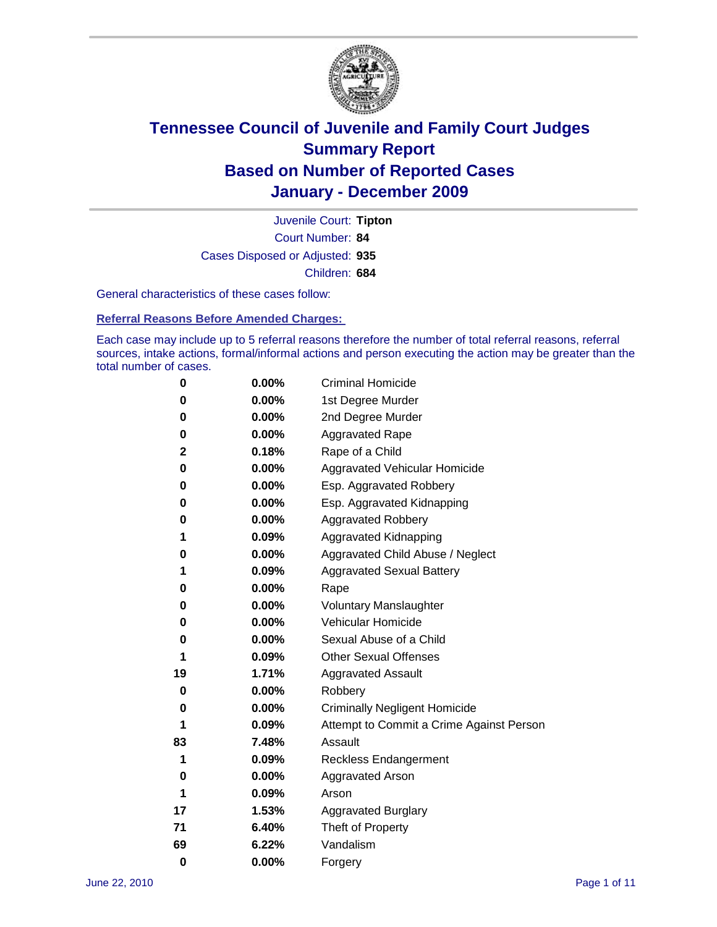

Court Number: **84** Juvenile Court: **Tipton** Cases Disposed or Adjusted: **935** Children: **684**

General characteristics of these cases follow:

**Referral Reasons Before Amended Charges:** 

Each case may include up to 5 referral reasons therefore the number of total referral reasons, referral sources, intake actions, formal/informal actions and person executing the action may be greater than the total number of cases.

| 0  | 0.00%    | <b>Criminal Homicide</b>                 |
|----|----------|------------------------------------------|
| 0  | 0.00%    | 1st Degree Murder                        |
| 0  | 0.00%    | 2nd Degree Murder                        |
| 0  | 0.00%    | <b>Aggravated Rape</b>                   |
| 2  | 0.18%    | Rape of a Child                          |
| 0  | 0.00%    | Aggravated Vehicular Homicide            |
| 0  | 0.00%    | Esp. Aggravated Robbery                  |
| 0  | 0.00%    | Esp. Aggravated Kidnapping               |
| 0  | 0.00%    | <b>Aggravated Robbery</b>                |
| 1  | 0.09%    | Aggravated Kidnapping                    |
| 0  | 0.00%    | Aggravated Child Abuse / Neglect         |
| 1  | 0.09%    | <b>Aggravated Sexual Battery</b>         |
| 0  | 0.00%    | Rape                                     |
| 0  | $0.00\%$ | <b>Voluntary Manslaughter</b>            |
| 0  | 0.00%    | Vehicular Homicide                       |
| 0  | 0.00%    | Sexual Abuse of a Child                  |
| 1  | 0.09%    | <b>Other Sexual Offenses</b>             |
| 19 | 1.71%    | <b>Aggravated Assault</b>                |
| 0  | 0.00%    | Robbery                                  |
| 0  | 0.00%    | <b>Criminally Negligent Homicide</b>     |
| 1  | 0.09%    | Attempt to Commit a Crime Against Person |
| 83 | 7.48%    | Assault                                  |
| 1  | 0.09%    | <b>Reckless Endangerment</b>             |
| 0  | 0.00%    | <b>Aggravated Arson</b>                  |
| 1  | 0.09%    | Arson                                    |
| 17 | 1.53%    | <b>Aggravated Burglary</b>               |
| 71 | 6.40%    | Theft of Property                        |
| 69 | 6.22%    | Vandalism                                |
| 0  | 0.00%    | Forgery                                  |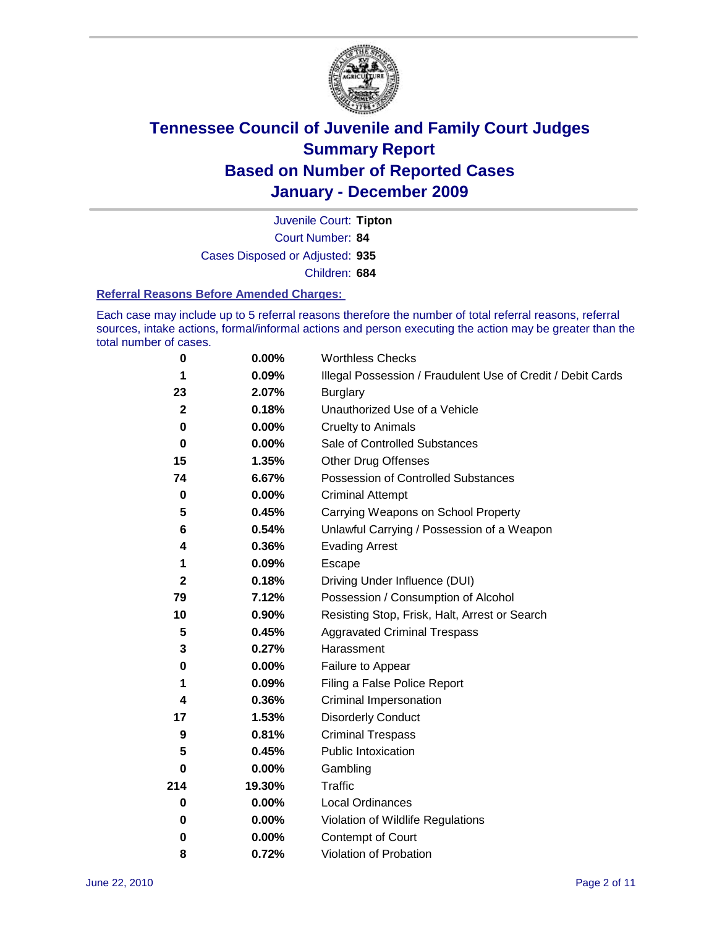

Court Number: **84** Juvenile Court: **Tipton** Cases Disposed or Adjusted: **935** Children: **684**

#### **Referral Reasons Before Amended Charges:**

Each case may include up to 5 referral reasons therefore the number of total referral reasons, referral sources, intake actions, formal/informal actions and person executing the action may be greater than the total number of cases.

| 0            | 0.00%    | <b>Worthless Checks</b>                                     |
|--------------|----------|-------------------------------------------------------------|
| 1            | 0.09%    | Illegal Possession / Fraudulent Use of Credit / Debit Cards |
| 23           | 2.07%    | <b>Burglary</b>                                             |
| $\mathbf{2}$ | 0.18%    | Unauthorized Use of a Vehicle                               |
| 0            | $0.00\%$ | <b>Cruelty to Animals</b>                                   |
| $\bf{0}$     | $0.00\%$ | Sale of Controlled Substances                               |
| 15           | 1.35%    | <b>Other Drug Offenses</b>                                  |
| 74           | 6.67%    | Possession of Controlled Substances                         |
| $\mathbf 0$  | $0.00\%$ | <b>Criminal Attempt</b>                                     |
| 5            | 0.45%    | Carrying Weapons on School Property                         |
| 6            | 0.54%    | Unlawful Carrying / Possession of a Weapon                  |
| 4            | 0.36%    | <b>Evading Arrest</b>                                       |
| 1            | 0.09%    | Escape                                                      |
| $\mathbf{2}$ | 0.18%    | Driving Under Influence (DUI)                               |
| 79           | 7.12%    | Possession / Consumption of Alcohol                         |
| 10           | 0.90%    | Resisting Stop, Frisk, Halt, Arrest or Search               |
| 5            | 0.45%    | <b>Aggravated Criminal Trespass</b>                         |
| 3            | 0.27%    | Harassment                                                  |
| $\pmb{0}$    | 0.00%    | Failure to Appear                                           |
| 1            | 0.09%    | Filing a False Police Report                                |
| 4            | 0.36%    | Criminal Impersonation                                      |
| 17           | 1.53%    | <b>Disorderly Conduct</b>                                   |
| 9            | 0.81%    | <b>Criminal Trespass</b>                                    |
| 5            | 0.45%    | Public Intoxication                                         |
| 0            | 0.00%    | Gambling                                                    |
| 214          | 19.30%   | <b>Traffic</b>                                              |
| 0            | $0.00\%$ | Local Ordinances                                            |
| 0            | $0.00\%$ | Violation of Wildlife Regulations                           |
| 0            | $0.00\%$ | Contempt of Court                                           |
| 8            | 0.72%    | Violation of Probation                                      |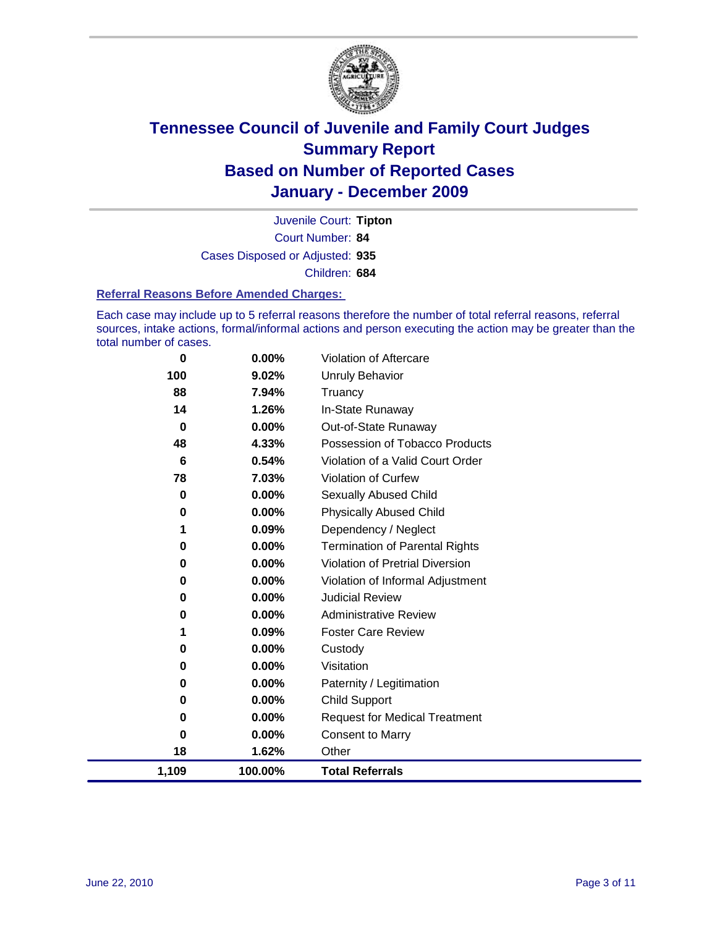

Court Number: **84** Juvenile Court: **Tipton** Cases Disposed or Adjusted: **935** Children: **684**

#### **Referral Reasons Before Amended Charges:**

Each case may include up to 5 referral reasons therefore the number of total referral reasons, referral sources, intake actions, formal/informal actions and person executing the action may be greater than the total number of cases.

| 0           | 0.00%    | Violation of Aftercare                 |
|-------------|----------|----------------------------------------|
| 100         | 9.02%    | <b>Unruly Behavior</b>                 |
| 88          | 7.94%    | Truancy                                |
| 14          | 1.26%    | In-State Runaway                       |
| $\mathbf 0$ | $0.00\%$ | Out-of-State Runaway                   |
| 48          | 4.33%    | Possession of Tobacco Products         |
| 6           | 0.54%    | Violation of a Valid Court Order       |
| 78          | 7.03%    | <b>Violation of Curfew</b>             |
| 0           | $0.00\%$ | Sexually Abused Child                  |
| 0           | 0.00%    | <b>Physically Abused Child</b>         |
| 1           | 0.09%    | Dependency / Neglect                   |
| 0           | 0.00%    | <b>Termination of Parental Rights</b>  |
| 0           | 0.00%    | <b>Violation of Pretrial Diversion</b> |
| 0           | 0.00%    | Violation of Informal Adjustment       |
| 0           | 0.00%    | <b>Judicial Review</b>                 |
| 0           | 0.00%    | <b>Administrative Review</b>           |
| 1           | 0.09%    | <b>Foster Care Review</b>              |
| 0           | 0.00%    | Custody                                |
| 0           | 0.00%    | Visitation                             |
| 0           | 0.00%    | Paternity / Legitimation               |
| 0           | 0.00%    | <b>Child Support</b>                   |
| 0           | $0.00\%$ | <b>Request for Medical Treatment</b>   |
| 0           | 0.00%    | <b>Consent to Marry</b>                |
| 18          | 1.62%    | Other                                  |
| 1,109       | 100.00%  | <b>Total Referrals</b>                 |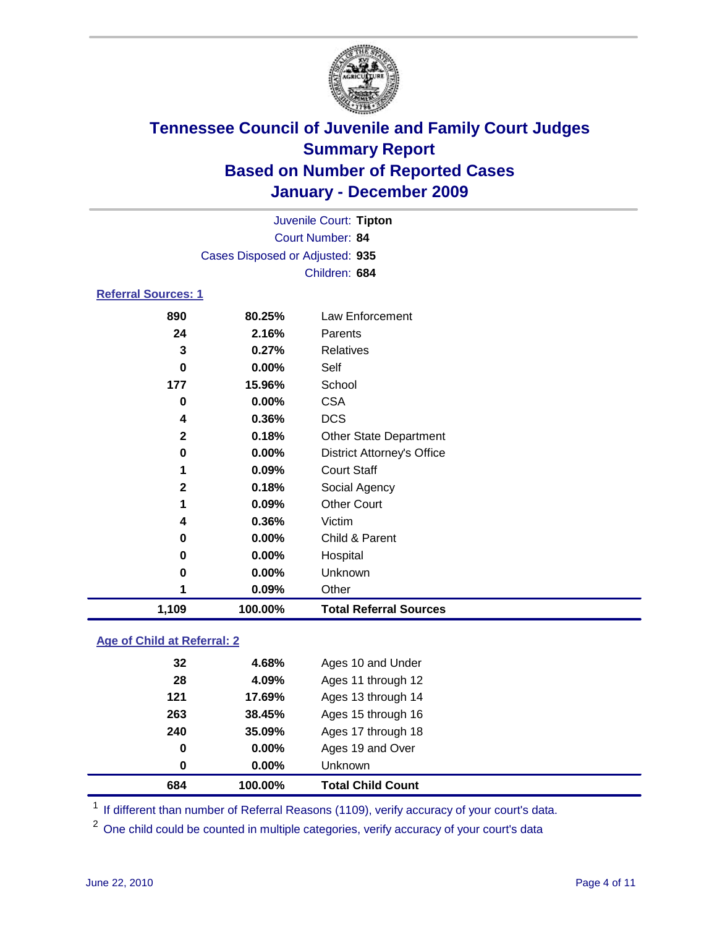

|                            |                                 | Juvenile Court: Tipton            |  |  |  |
|----------------------------|---------------------------------|-----------------------------------|--|--|--|
|                            |                                 | Court Number: 84                  |  |  |  |
|                            | Cases Disposed or Adjusted: 935 |                                   |  |  |  |
|                            |                                 | Children: 684                     |  |  |  |
| <b>Referral Sources: 1</b> |                                 |                                   |  |  |  |
| 890                        | 80.25%                          | Law Enforcement                   |  |  |  |
| 24                         | 2.16%                           | Parents                           |  |  |  |
| 3                          | 0.27%                           | <b>Relatives</b>                  |  |  |  |
| 0                          | $0.00\%$                        | Self                              |  |  |  |
| 177                        | 15.96%                          | School                            |  |  |  |
| 0                          | $0.00\%$                        | <b>CSA</b>                        |  |  |  |
| 4                          | $0.36\%$                        | <b>DCS</b>                        |  |  |  |
| $\mathbf{2}$               | 0.18%                           | <b>Other State Department</b>     |  |  |  |
| 0                          | $0.00\%$                        | <b>District Attorney's Office</b> |  |  |  |
| 1                          | $0.09\%$                        | <b>Court Staff</b>                |  |  |  |
| $\mathbf{2}$               | 0.18%                           | Social Agency                     |  |  |  |
| 1                          | 0.09%                           | <b>Other Court</b>                |  |  |  |
| 4                          | 0.36%                           | Victim                            |  |  |  |

| 1.109 | 100.00%       | <b>Total Referral Sources</b> |  |
|-------|---------------|-------------------------------|--|
|       | $0.09\%$      | Other                         |  |
|       | $0.00\%$<br>0 | <b>Unknown</b>                |  |
|       | $0.00\%$<br>0 | Hospital                      |  |
|       | $0.00\%$<br>0 | Child & Parent                |  |

### **Age of Child at Referral: 2**

| 263<br>240<br>0<br>0 | 38.45%<br>35.09%<br>0.00%<br>0.00% | Ages 15 through 16<br>Ages 17 through 18<br>Ages 19 and Over<br>Unknown |
|----------------------|------------------------------------|-------------------------------------------------------------------------|
|                      |                                    |                                                                         |
|                      |                                    |                                                                         |
|                      |                                    |                                                                         |
|                      |                                    |                                                                         |
| 121                  | 17.69%                             | Ages 13 through 14                                                      |
| 28                   | 4.09%                              | Ages 11 through 12                                                      |
|                      |                                    | Ages 10 and Under                                                       |
|                      |                                    | 32<br>4.68%                                                             |

<sup>1</sup> If different than number of Referral Reasons (1109), verify accuracy of your court's data.

<sup>2</sup> One child could be counted in multiple categories, verify accuracy of your court's data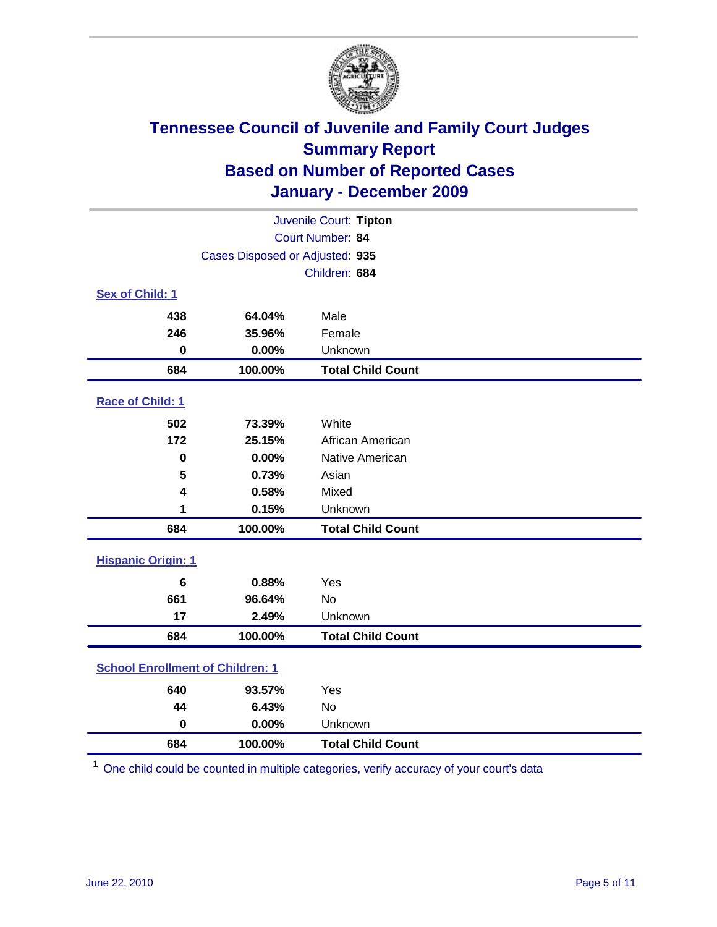

| Juvenile Court: Tipton                  |                                 |                          |  |  |
|-----------------------------------------|---------------------------------|--------------------------|--|--|
|                                         | Court Number: 84                |                          |  |  |
|                                         | Cases Disposed or Adjusted: 935 |                          |  |  |
| Children: 684                           |                                 |                          |  |  |
| Sex of Child: 1                         |                                 |                          |  |  |
| 438                                     | 64.04%                          | Male                     |  |  |
| 246                                     | 35.96%                          | Female                   |  |  |
| $\bf{0}$                                | 0.00%                           | Unknown                  |  |  |
| 684                                     | 100.00%                         | <b>Total Child Count</b> |  |  |
| Race of Child: 1                        |                                 |                          |  |  |
| 502                                     | 73.39%                          | White                    |  |  |
| 172                                     | 25.15%                          | African American         |  |  |
| $\bf{0}$                                | 0.00%                           | Native American          |  |  |
| 5                                       | 0.73%                           | Asian                    |  |  |
| 4                                       | 0.58%                           | Mixed                    |  |  |
| 1                                       | 0.15%                           | Unknown                  |  |  |
| 684                                     | 100.00%                         | <b>Total Child Count</b> |  |  |
| <b>Hispanic Origin: 1</b>               |                                 |                          |  |  |
| $6\phantom{1}$                          | 0.88%                           | Yes                      |  |  |
| 661                                     | 96.64%                          | <b>No</b>                |  |  |
| 17                                      | 2.49%                           | Unknown                  |  |  |
| 684                                     | 100.00%                         | <b>Total Child Count</b> |  |  |
| <b>School Enrollment of Children: 1</b> |                                 |                          |  |  |
| 640                                     | 93.57%                          | Yes                      |  |  |
| 44                                      | 6.43%                           | No                       |  |  |
| $\mathbf 0$                             | 0.00%                           | Unknown                  |  |  |
| 684                                     | 100.00%                         | <b>Total Child Count</b> |  |  |

One child could be counted in multiple categories, verify accuracy of your court's data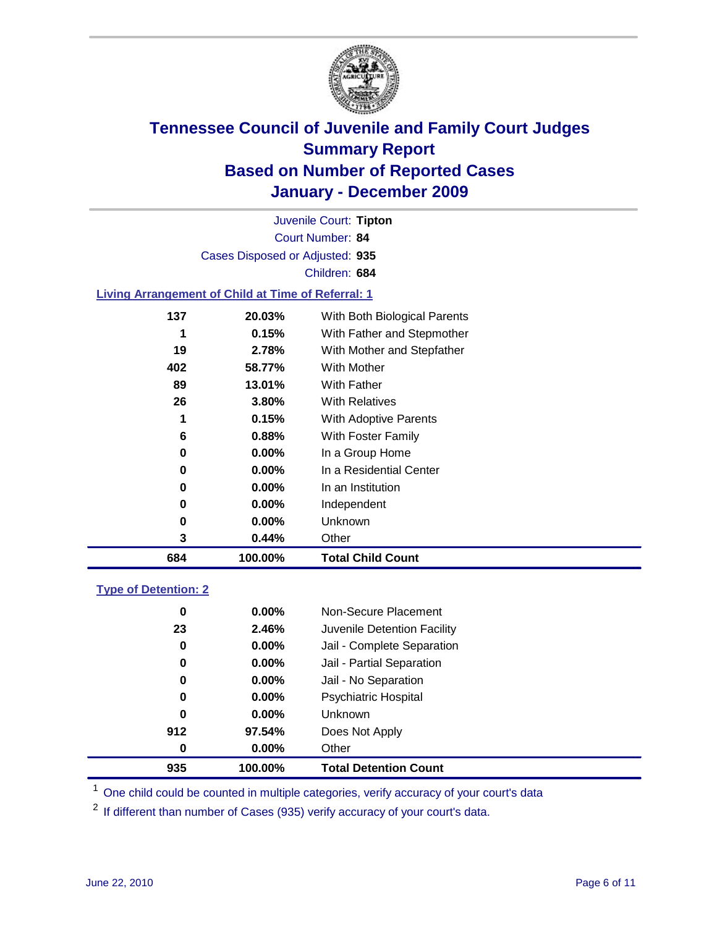

Court Number: **84** Juvenile Court: **Tipton** Cases Disposed or Adjusted: **935** Children: **684**

#### **Living Arrangement of Child at Time of Referral: 1**

| 684 | 100.00%  | <b>Total Child Count</b>     |
|-----|----------|------------------------------|
| 3   | 0.44%    | Other                        |
| 0   | $0.00\%$ | Unknown                      |
| 0   | $0.00\%$ | Independent                  |
| 0   | $0.00\%$ | In an Institution            |
| 0   | $0.00\%$ | In a Residential Center      |
| 0   | $0.00\%$ | In a Group Home              |
| 6   | 0.88%    | With Foster Family           |
| 1   | 0.15%    | With Adoptive Parents        |
| 26  | $3.80\%$ | <b>With Relatives</b>        |
| 89  | 13.01%   | With Father                  |
| 402 | 58.77%   | <b>With Mother</b>           |
| 19  | 2.78%    | With Mother and Stepfather   |
|     | 0.15%    | With Father and Stepmother   |
| 137 | 20.03%   | With Both Biological Parents |
|     |          |                              |

#### **Type of Detention: 2**

| 935         | 100.00%  | <b>Total Detention Count</b> |  |
|-------------|----------|------------------------------|--|
| 0           | $0.00\%$ | Other                        |  |
| 912         | 97.54%   | Does Not Apply               |  |
| $\mathbf 0$ | $0.00\%$ | Unknown                      |  |
| 0           | $0.00\%$ | Psychiatric Hospital         |  |
| 0           | 0.00%    | Jail - No Separation         |  |
| 0           | $0.00\%$ | Jail - Partial Separation    |  |
| 0           | 0.00%    | Jail - Complete Separation   |  |
| 23          | 2.46%    | Juvenile Detention Facility  |  |
| 0           | $0.00\%$ | Non-Secure Placement         |  |
|             |          |                              |  |

<sup>1</sup> One child could be counted in multiple categories, verify accuracy of your court's data

<sup>2</sup> If different than number of Cases (935) verify accuracy of your court's data.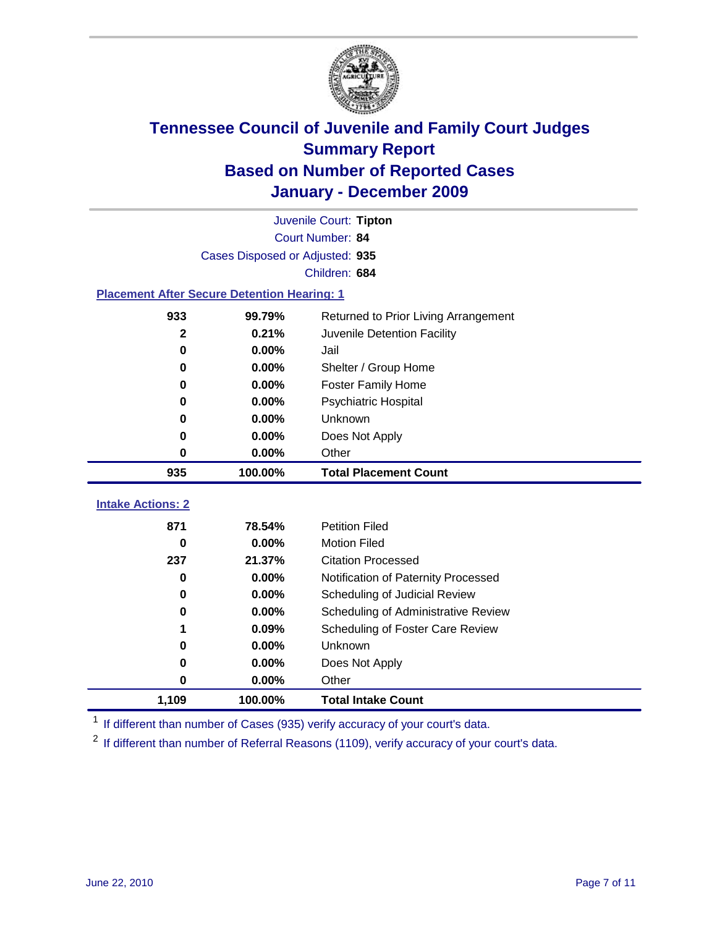

|                                                    | Juvenile Court: Tipton |                                      |  |  |  |
|----------------------------------------------------|------------------------|--------------------------------------|--|--|--|
|                                                    | Court Number: 84       |                                      |  |  |  |
| Cases Disposed or Adjusted: 935                    |                        |                                      |  |  |  |
| Children: 684                                      |                        |                                      |  |  |  |
| <b>Placement After Secure Detention Hearing: 1</b> |                        |                                      |  |  |  |
| 933                                                | 99.79%                 | Returned to Prior Living Arrangement |  |  |  |
| $\mathbf{2}$                                       | 0.21%                  | Juvenile Detention Facility          |  |  |  |
| $\mathbf 0$                                        | 0.00%                  | Jail                                 |  |  |  |
| $\bf{0}$                                           | 0.00%                  | Shelter / Group Home                 |  |  |  |
| 0                                                  | 0.00%                  | <b>Foster Family Home</b>            |  |  |  |
| 0                                                  | 0.00%                  | Psychiatric Hospital                 |  |  |  |
| 0                                                  | 0.00%                  | Unknown                              |  |  |  |
| 0                                                  | 0.00%                  | Does Not Apply                       |  |  |  |
| $\bf{0}$                                           | $0.00\%$               | Other                                |  |  |  |
| 935                                                | 100.00%                | <b>Total Placement Count</b>         |  |  |  |
|                                                    |                        |                                      |  |  |  |
| <b>Intake Actions: 2</b>                           |                        |                                      |  |  |  |
| 871                                                | 78.54%                 | <b>Petition Filed</b>                |  |  |  |
| $\bf{0}$                                           | 0.00%                  | <b>Motion Filed</b>                  |  |  |  |
| 237                                                | 21.37%                 | <b>Citation Processed</b>            |  |  |  |
| 0                                                  | 0.00%                  | Notification of Paternity Processed  |  |  |  |
| $\mathbf 0$                                        | 0.00%                  | Scheduling of Judicial Review        |  |  |  |
| 0                                                  | 0.00%                  | Scheduling of Administrative Review  |  |  |  |
|                                                    | 0.09%                  | Scheduling of Foster Care Review     |  |  |  |
| 0                                                  | 0.00%                  | Unknown                              |  |  |  |
| 0                                                  | 0.00%                  | Does Not Apply                       |  |  |  |
| $\bf{0}$                                           | 0.00%                  | Other                                |  |  |  |
| 1,109                                              | 100.00%                | <b>Total Intake Count</b>            |  |  |  |

<sup>1</sup> If different than number of Cases (935) verify accuracy of your court's data.

<sup>2</sup> If different than number of Referral Reasons (1109), verify accuracy of your court's data.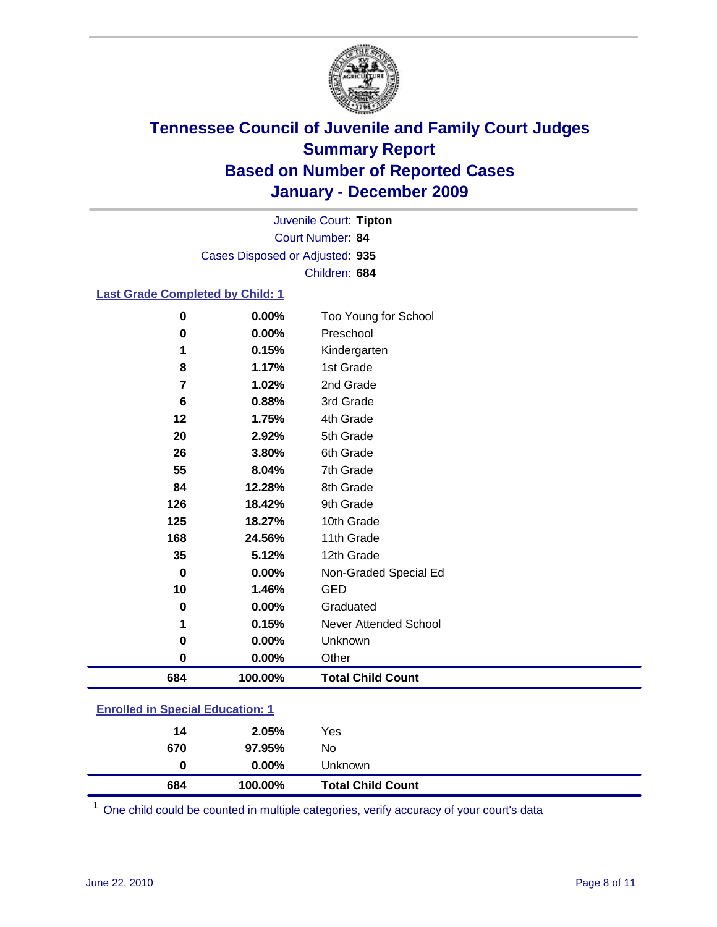

Court Number: **84** Juvenile Court: **Tipton** Cases Disposed or Adjusted: **935** Children: **684**

#### **Last Grade Completed by Child: 1**

| 684      | 100.00%  | <b>Total Child Count</b>     |
|----------|----------|------------------------------|
| 0        | $0.00\%$ | Other                        |
| 0        | $0.00\%$ | Unknown                      |
| 1        | 0.15%    | <b>Never Attended School</b> |
| 0        | 0.00%    | Graduated                    |
| 10       | 1.46%    | <b>GED</b>                   |
| $\bf{0}$ | $0.00\%$ | Non-Graded Special Ed        |
| 35       | 5.12%    | 12th Grade                   |
| 168      | 24.56%   | 11th Grade                   |
| 125      | 18.27%   | 10th Grade                   |
| 126      | 18.42%   | 9th Grade                    |
| 84       | 12.28%   | 8th Grade                    |
| 55       | 8.04%    | 7th Grade                    |
| 26       | 3.80%    | 6th Grade                    |
| 20       | 2.92%    | 5th Grade                    |
| 12       | 1.75%    | 4th Grade                    |
| 6        | 0.88%    | 3rd Grade                    |
| 7        | 1.02%    | 2nd Grade                    |
| 8        | 1.17%    | 1st Grade                    |
| 1        | 0.15%    | Kindergarten                 |
| 0        | 0.00%    | Preschool                    |
| $\bf{0}$ | 0.00%    | Too Young for School         |

| 684                                     | 100.00%  | <b>Total Child Count</b> |  |  |
|-----------------------------------------|----------|--------------------------|--|--|
| 0                                       | $0.00\%$ | Unknown                  |  |  |
| 670                                     | 97.95%   | No                       |  |  |
| 14                                      | 2.05%    | Yes                      |  |  |
| <b>Enrolled in Special Education: 1</b> |          |                          |  |  |

One child could be counted in multiple categories, verify accuracy of your court's data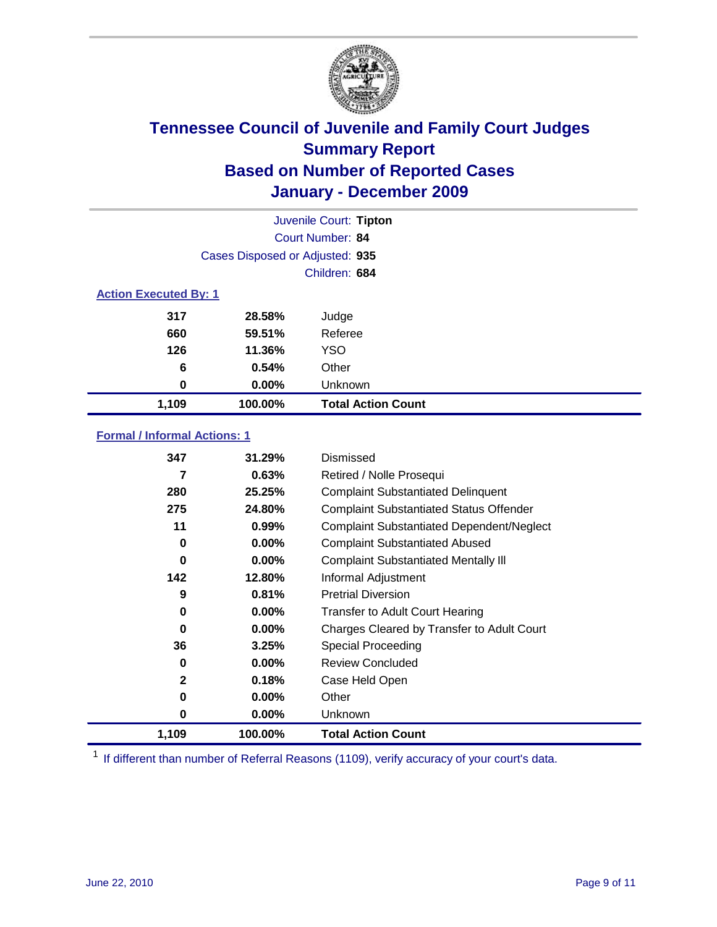

|                              |                                 | Juvenile Court: Tipton    |
|------------------------------|---------------------------------|---------------------------|
|                              |                                 | <b>Court Number: 84</b>   |
|                              | Cases Disposed or Adjusted: 935 |                           |
|                              |                                 | Children: 684             |
| <b>Action Executed By: 1</b> |                                 |                           |
| 317                          | 28.58%                          | Judge                     |
| 660                          | 59.51%                          | Referee                   |
| 126                          | 11.36%                          | <b>YSO</b>                |
| 6                            | 0.54%                           | Other                     |
| 0                            | 0.00%                           | Unknown                   |
| 1,109                        | 100.00%                         | <b>Total Action Count</b> |

#### **Formal / Informal Actions: 1**

| 347          | 31.29%   | Dismissed                                        |
|--------------|----------|--------------------------------------------------|
| 7            | 0.63%    | Retired / Nolle Prosequi                         |
| 280          | 25.25%   | <b>Complaint Substantiated Delinquent</b>        |
| 275          | 24.80%   | <b>Complaint Substantiated Status Offender</b>   |
| 11           | 0.99%    | <b>Complaint Substantiated Dependent/Neglect</b> |
| 0            | $0.00\%$ | <b>Complaint Substantiated Abused</b>            |
| 0            | $0.00\%$ | <b>Complaint Substantiated Mentally III</b>      |
| 142          | 12.80%   | Informal Adjustment                              |
| 9            | 0.81%    | <b>Pretrial Diversion</b>                        |
| 0            | $0.00\%$ | <b>Transfer to Adult Court Hearing</b>           |
| 0            | $0.00\%$ | Charges Cleared by Transfer to Adult Court       |
| 36           | 3.25%    | Special Proceeding                               |
| 0            | $0.00\%$ | <b>Review Concluded</b>                          |
| $\mathbf{2}$ | 0.18%    | Case Held Open                                   |
| 0            | $0.00\%$ | Other                                            |
| 0            | $0.00\%$ | Unknown                                          |
| 1,109        | 100.00%  | <b>Total Action Count</b>                        |

<sup>1</sup> If different than number of Referral Reasons (1109), verify accuracy of your court's data.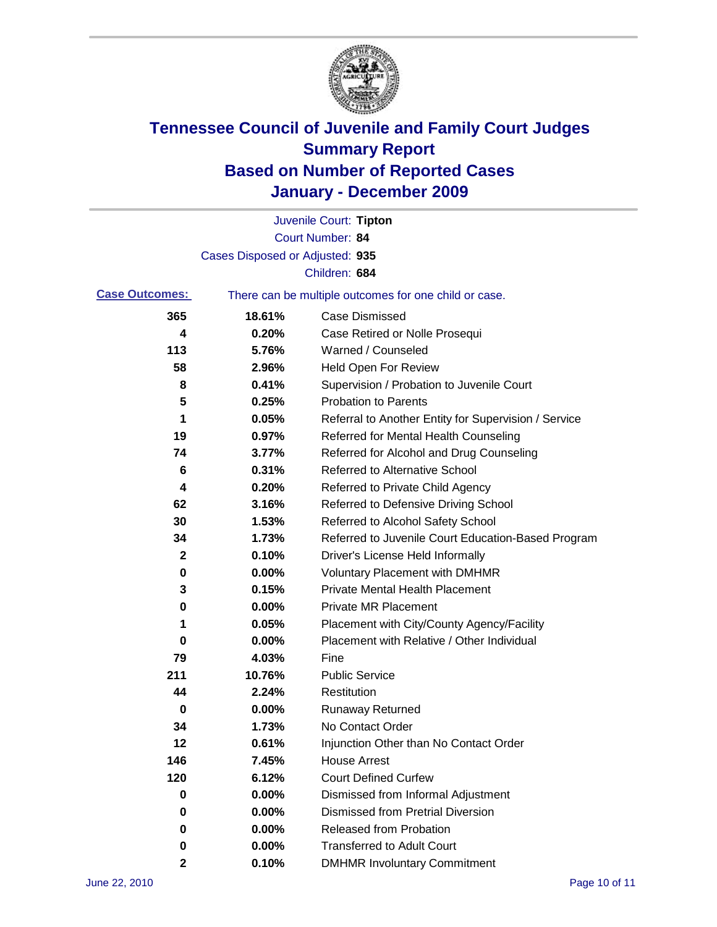

|                       |                                 | Juvenile Court: Tipton                                |
|-----------------------|---------------------------------|-------------------------------------------------------|
|                       |                                 | Court Number: 84                                      |
|                       | Cases Disposed or Adjusted: 935 |                                                       |
|                       |                                 | Children: 684                                         |
| <b>Case Outcomes:</b> |                                 | There can be multiple outcomes for one child or case. |
| 365                   | 18.61%                          | <b>Case Dismissed</b>                                 |
| 4                     | 0.20%                           | Case Retired or Nolle Prosequi                        |
| 113                   | 5.76%                           | Warned / Counseled                                    |
| 58                    | 2.96%                           | <b>Held Open For Review</b>                           |
| 8                     | 0.41%                           | Supervision / Probation to Juvenile Court             |
| 5                     | 0.25%                           | <b>Probation to Parents</b>                           |
| 1                     | 0.05%                           | Referral to Another Entity for Supervision / Service  |
| 19                    | 0.97%                           | Referred for Mental Health Counseling                 |
| 74                    | 3.77%                           | Referred for Alcohol and Drug Counseling              |
| 6                     | 0.31%                           | Referred to Alternative School                        |
| 4                     | 0.20%                           | Referred to Private Child Agency                      |
| 62                    | 3.16%                           | Referred to Defensive Driving School                  |
| 30                    | 1.53%                           | Referred to Alcohol Safety School                     |
| 34                    | 1.73%                           | Referred to Juvenile Court Education-Based Program    |
| 2                     | 0.10%                           | Driver's License Held Informally                      |
| 0                     | 0.00%                           | <b>Voluntary Placement with DMHMR</b>                 |
| 3                     | 0.15%                           | <b>Private Mental Health Placement</b>                |
| 0                     | 0.00%                           | <b>Private MR Placement</b>                           |
| 1                     | 0.05%                           | Placement with City/County Agency/Facility            |
| 0                     | 0.00%                           | Placement with Relative / Other Individual            |
| 79                    | 4.03%                           | Fine                                                  |
| 211                   | 10.76%                          | <b>Public Service</b>                                 |
| 44                    | 2.24%                           | Restitution                                           |
| 0                     | 0.00%                           | <b>Runaway Returned</b>                               |
| 34                    | 1.73%                           | No Contact Order                                      |
| 12                    | 0.61%                           | Injunction Other than No Contact Order                |
| 146                   | 7.45%                           | <b>House Arrest</b>                                   |
| 120                   | 6.12%                           | <b>Court Defined Curfew</b>                           |
| 0                     | 0.00%                           | Dismissed from Informal Adjustment                    |
| 0                     | 0.00%                           | <b>Dismissed from Pretrial Diversion</b>              |
| 0                     | 0.00%                           | <b>Released from Probation</b>                        |
| 0                     | 0.00%                           | <b>Transferred to Adult Court</b>                     |
| 2                     | 0.10%                           | <b>DMHMR Involuntary Commitment</b>                   |